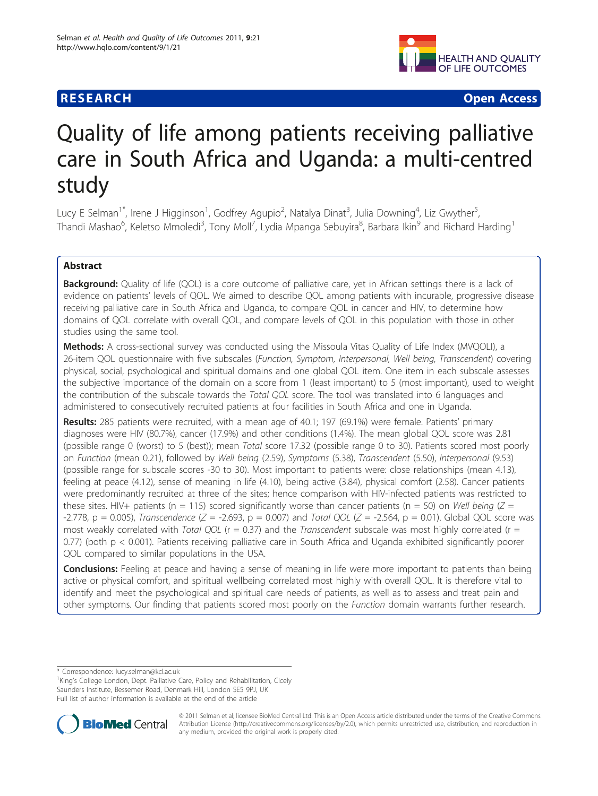# **RESEARCH CONSTRUCTION CONTROL**



# Quality of life among patients receiving palliative care in South Africa and Uganda: a multi-centred study

Lucy E Selman<sup>1\*</sup>, Irene J Higginson<sup>1</sup>, Godfrey Agupio<sup>2</sup>, Natalya Dinat<sup>3</sup>, Julia Downing<sup>4</sup>, Liz Gwyther<sup>5</sup> , Thandi Mashao<sup>6</sup>, Keletso Mmoledi<sup>3</sup>, Tony Moll<sup>7</sup>, Lydia Mpanga Sebuyira<sup>8</sup>, Barbara Ikin<sup>9</sup> and Richard Harding<sup>1</sup>

# Abstract

**Background:** Quality of life (QOL) is a core outcome of palliative care, yet in African settings there is a lack of evidence on patients' levels of QOL. We aimed to describe QOL among patients with incurable, progressive disease receiving palliative care in South Africa and Uganda, to compare QOL in cancer and HIV, to determine how domains of QOL correlate with overall QOL, and compare levels of QOL in this population with those in other studies using the same tool.

Methods: A cross-sectional survey was conducted using the Missoula Vitas Quality of Life Index (MVQOLI), a 26-item QOL questionnaire with five subscales (Function, Symptom, Interpersonal, Well being, Transcendent) covering physical, social, psychological and spiritual domains and one global QOL item. One item in each subscale assesses the subjective importance of the domain on a score from 1 (least important) to 5 (most important), used to weight the contribution of the subscale towards the Total QOL score. The tool was translated into 6 languages and administered to consecutively recruited patients at four facilities in South Africa and one in Uganda.

Results: 285 patients were recruited, with a mean age of 40.1; 197 (69.1%) were female. Patients' primary diagnoses were HIV (80.7%), cancer (17.9%) and other conditions (1.4%). The mean global QOL score was 2.81 (possible range 0 (worst) to 5 (best)); mean Total score 17.32 (possible range 0 to 30). Patients scored most poorly on Function (mean 0.21), followed by Well being (2.59), Symptoms (5.38), Transcendent (5.50), Interpersonal (9.53) (possible range for subscale scores -30 to 30). Most important to patients were: close relationships (mean 4.13), feeling at peace (4.12), sense of meaning in life (4.10), being active (3.84), physical comfort (2.58). Cancer patients were predominantly recruited at three of the sites; hence comparison with HIV-infected patients was restricted to these sites. HIV+ patients (n = 115) scored significantly worse than cancer patients (n = 50) on Well being ( $Z =$  $-2.778$ , p = 0.005), Transcendence (Z =  $-2.693$ , p = 0.007) and Total QOL (Z =  $-2.564$ , p = 0.01). Global QOL score was most weakly correlated with Total QOL ( $r = 0.37$ ) and the Transcendent subscale was most highly correlated ( $r =$ 0.77) (both p < 0.001). Patients receiving palliative care in South Africa and Uganda exhibited significantly poorer QOL compared to similar populations in the USA.

**Conclusions:** Feeling at peace and having a sense of meaning in life were more important to patients than being active or physical comfort, and spiritual wellbeing correlated most highly with overall QOL. It is therefore vital to identify and meet the psychological and spiritual care needs of patients, as well as to assess and treat pain and other symptoms. Our finding that patients scored most poorly on the Function domain warrants further research.

\* Correspondence: [lucy.selman@kcl.ac.uk](mailto:lucy.selman@kcl.ac.uk)

<sup>1</sup>King's College London, Dept. Palliative Care, Policy and Rehabilitation, Cicely Saunders Institute, Bessemer Road, Denmark Hill, London SE5 9PJ, UK Full list of author information is available at the end of the article



© 2011 Selman et al; licensee BioMed Central Ltd. This is an Open Access article distributed under the terms of the Creative Commons Attribution License [\(http://creativecommons.org/licenses/by/2.0](http://creativecommons.org/licenses/by/2.0)), which permits unrestricted use, distribution, and reproduction in any medium, provided the original work is properly cited.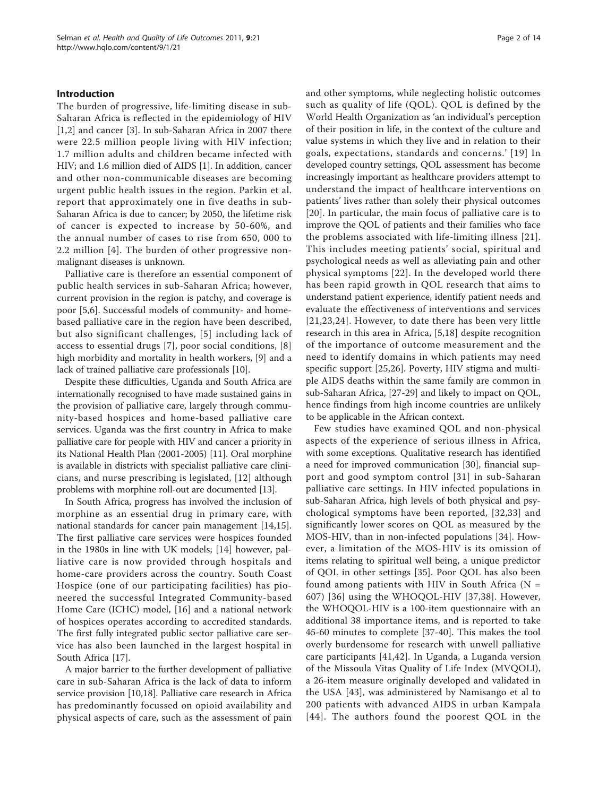# Introduction

The burden of progressive, life-limiting disease in sub-Saharan Africa is reflected in the epidemiology of HIV [[1,2](#page-11-0)] and cancer [\[3](#page-11-0)]. In sub-Saharan Africa in 2007 there were 22.5 million people living with HIV infection; 1.7 million adults and children became infected with HIV; and 1.6 million died of AIDS [\[1](#page-11-0)]. In addition, cancer and other non-communicable diseases are becoming urgent public health issues in the region. Parkin et al. report that approximately one in five deaths in sub-Saharan Africa is due to cancer; by 2050, the lifetime risk of cancer is expected to increase by 50-60%, and the annual number of cases to rise from 650, 000 to 2.2 million [[4\]](#page-11-0). The burden of other progressive nonmalignant diseases is unknown.

Palliative care is therefore an essential component of public health services in sub-Saharan Africa; however, current provision in the region is patchy, and coverage is poor [\[5,6](#page-11-0)]. Successful models of community- and homebased palliative care in the region have been described, but also significant challenges, [[5\]](#page-11-0) including lack of access to essential drugs [[7](#page-11-0)], poor social conditions, [\[8](#page-11-0)] high morbidity and mortality in health workers, [\[9](#page-11-0)] and a lack of trained palliative care professionals [\[10](#page-11-0)].

Despite these difficulties, Uganda and South Africa are internationally recognised to have made sustained gains in the provision of palliative care, largely through community-based hospices and home-based palliative care services. Uganda was the first country in Africa to make palliative care for people with HIV and cancer a priority in its National Health Plan (2001-2005) [\[11\]](#page-11-0). Oral morphine is available in districts with specialist palliative care clinicians, and nurse prescribing is legislated, [[12](#page-11-0)] although problems with morphine roll-out are documented [\[13\]](#page-11-0).

In South Africa, progress has involved the inclusion of morphine as an essential drug in primary care, with national standards for cancer pain management [\[14,15](#page-11-0)]. The first palliative care services were hospices founded in the 1980s in line with UK models; [\[14\]](#page-11-0) however, palliative care is now provided through hospitals and home-care providers across the country. South Coast Hospice (one of our participating facilities) has pioneered the successful Integrated Community-based Home Care (ICHC) model, [[16\]](#page-11-0) and a national network of hospices operates according to accredited standards. The first fully integrated public sector palliative care service has also been launched in the largest hospital in South Africa [[17\]](#page-11-0).

A major barrier to the further development of palliative care in sub-Saharan Africa is the lack of data to inform service provision [[10,18](#page-11-0)]. Palliative care research in Africa has predominantly focussed on opioid availability and physical aspects of care, such as the assessment of pain and other symptoms, while neglecting holistic outcomes such as quality of life (QOL). QOL is defined by the World Health Organization as 'an individual's perception of their position in life, in the context of the culture and value systems in which they live and in relation to their goals, expectations, standards and concerns.' [[19\]](#page-11-0) In developed country settings, QOL assessment has become increasingly important as healthcare providers attempt to understand the impact of healthcare interventions on patients' lives rather than solely their physical outcomes [[20](#page-11-0)]. In particular, the main focus of palliative care is to improve the QOL of patients and their families who face the problems associated with life-limiting illness [[21](#page-11-0)]. This includes meeting patients' social, spiritual and psychological needs as well as alleviating pain and other physical symptoms [\[22\]](#page-11-0). In the developed world there has been rapid growth in QOL research that aims to understand patient experience, identify patient needs and evaluate the effectiveness of interventions and services [[21,23](#page-11-0),[24](#page-11-0)]. However, to date there has been very little research in this area in Africa, [[5,18](#page-11-0)] despite recognition of the importance of outcome measurement and the need to identify domains in which patients may need specific support [[25,](#page-11-0)[26\]](#page-12-0). Poverty, HIV stigma and multiple AIDS deaths within the same family are common in sub-Saharan Africa, [\[27](#page-12-0)-[29](#page-12-0)] and likely to impact on QOL, hence findings from high income countries are unlikely to be applicable in the African context.

Few studies have examined QOL and non-physical aspects of the experience of serious illness in Africa, with some exceptions. Qualitative research has identified a need for improved communication [[30\]](#page-12-0), financial support and good symptom control [[31](#page-12-0)] in sub-Saharan palliative care settings. In HIV infected populations in sub-Saharan Africa, high levels of both physical and psychological symptoms have been reported, [[32](#page-12-0),[33](#page-12-0)] and significantly lower scores on QOL as measured by the MOS-HIV, than in non-infected populations [[34\]](#page-12-0). However, a limitation of the MOS-HIV is its omission of items relating to spiritual well being, a unique predictor of QOL in other settings [[35\]](#page-12-0). Poor QOL has also been found among patients with HIV in South Africa ( $N =$ 607) [\[36](#page-12-0)] using the WHOQOL-HIV [[37,38](#page-12-0)]. However, the WHOQOL-HIV is a 100-item questionnaire with an additional 38 importance items, and is reported to take 45-60 minutes to complete [\[37](#page-12-0)-[40\]](#page-12-0). This makes the tool overly burdensome for research with unwell palliative care participants [[41,42](#page-12-0)]. In Uganda, a Luganda version of the Missoula Vitas Quality of Life Index (MVQOLI), a 26-item measure originally developed and validated in the USA [[43\]](#page-12-0), was administered by Namisango et al to 200 patients with advanced AIDS in urban Kampala [[44](#page-12-0)]. The authors found the poorest QOL in the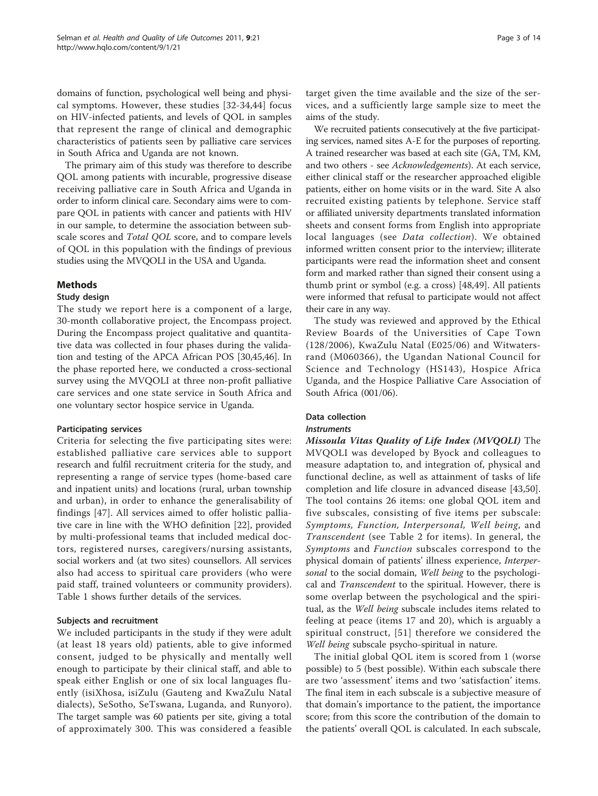domains of function, psychological well being and physical symptoms. However, these studies [\[32](#page-12-0)-[34](#page-12-0),[44\]](#page-12-0) focus on HIV-infected patients, and levels of QOL in samples that represent the range of clinical and demographic characteristics of patients seen by palliative care services in South Africa and Uganda are not known.

The primary aim of this study was therefore to describe QOL among patients with incurable, progressive disease receiving palliative care in South Africa and Uganda in order to inform clinical care. Secondary aims were to compare QOL in patients with cancer and patients with HIV in our sample, to determine the association between subscale scores and Total QOL score, and to compare levels of QOL in this population with the findings of previous studies using the MVQOLI in the USA and Uganda.

# Methods

# Study design

The study we report here is a component of a large, 30-month collaborative project, the Encompass project. During the Encompass project qualitative and quantitative data was collected in four phases during the validation and testing of the APCA African POS [[30](#page-12-0),[45](#page-12-0),[46](#page-12-0)]. In the phase reported here, we conducted a cross-sectional survey using the MVQOLI at three non-profit palliative care services and one state service in South Africa and one voluntary sector hospice service in Uganda.

# Participating services

Criteria for selecting the five participating sites were: established palliative care services able to support research and fulfil recruitment criteria for the study, and representing a range of service types (home-based care and inpatient units) and locations (rural, urban township and urban), in order to enhance the generalisability of findings [[47\]](#page-12-0). All services aimed to offer holistic palliative care in line with the WHO definition [\[22\]](#page-11-0), provided by multi-professional teams that included medical doctors, registered nurses, caregivers/nursing assistants, social workers and (at two sites) counsellors. All services also had access to spiritual care providers (who were paid staff, trained volunteers or community providers). Table [1](#page-3-0) shows further details of the services.

# Subjects and recruitment

We included participants in the study if they were adult (at least 18 years old) patients, able to give informed consent, judged to be physically and mentally well enough to participate by their clinical staff, and able to speak either English or one of six local languages fluently (isiXhosa, isiZulu (Gauteng and KwaZulu Natal dialects), SeSotho, SeTswana, Luganda, and Runyoro). The target sample was 60 patients per site, giving a total of approximately 300. This was considered a feasible

target given the time available and the size of the services, and a sufficiently large sample size to meet the aims of the study.

We recruited patients consecutively at the five participating services, named sites A-E for the purposes of reporting. A trained researcher was based at each site (GA, TM, KM, and two others - see Acknowledgements). At each service, either clinical staff or the researcher approached eligible patients, either on home visits or in the ward. Site A also recruited existing patients by telephone. Service staff or affiliated university departments translated information sheets and consent forms from English into appropriate local languages (see *Data collection*). We obtained informed written consent prior to the interview; illiterate participants were read the information sheet and consent form and marked rather than signed their consent using a thumb print or symbol (e.g. a cross) [\[48](#page-12-0),[49](#page-12-0)]. All patients were informed that refusal to participate would not affect their care in any way.

The study was reviewed and approved by the Ethical Review Boards of the Universities of Cape Town (128/2006), KwaZulu Natal (E025/06) and Witwatersrand (M060366), the Ugandan National Council for Science and Technology (HS143), Hospice Africa Uganda, and the Hospice Palliative Care Association of South Africa (001/06).

# Data collection

# **Instruments**

Missoula Vitas Quality of Life Index (MVQOLI) The MVQOLI was developed by Byock and colleagues to measure adaptation to, and integration of, physical and functional decline, as well as attainment of tasks of life completion and life closure in advanced disease [\[43,50](#page-12-0)]. The tool contains 26 items: one global QOL item and five subscales, consisting of five items per subscale: Symptoms, Function, Interpersonal, Well being, and Transcendent (see Table [2](#page-4-0) for items). In general, the Symptoms and Function subscales correspond to the physical domain of patients' illness experience, Interpersonal to the social domain, Well being to the psychological and Transcendent to the spiritual. However, there is some overlap between the psychological and the spiritual, as the Well being subscale includes items related to feeling at peace (items 17 and 20), which is arguably a spiritual construct, [[51\]](#page-12-0) therefore we considered the Well being subscale psycho-spiritual in nature.

The initial global QOL item is scored from 1 (worse possible) to 5 (best possible). Within each subscale there are two 'assessment' items and two 'satisfaction' items. The final item in each subscale is a subjective measure of that domain's importance to the patient, the importance score; from this score the contribution of the domain to the patients' overall QOL is calculated. In each subscale,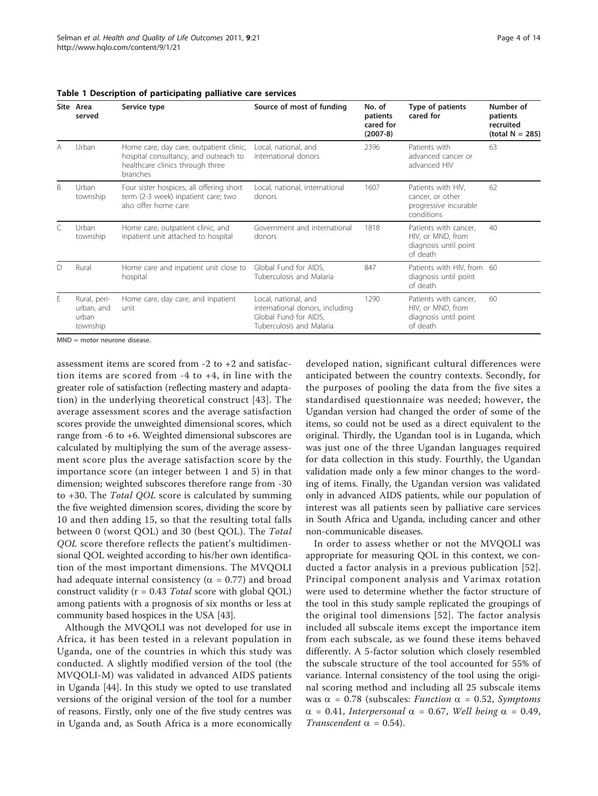|              | Site Area<br>served                                                                                                          | Service type                                                                                                                     | Source of most of funding                                                                                    | No. of<br>patients<br>cared for<br>$(2007-8)$                                         | Type of patients<br>cared for                                                   | Number of<br>patients<br>recruited<br>(total $N = 285$ ) |
|--------------|------------------------------------------------------------------------------------------------------------------------------|----------------------------------------------------------------------------------------------------------------------------------|--------------------------------------------------------------------------------------------------------------|---------------------------------------------------------------------------------------|---------------------------------------------------------------------------------|----------------------------------------------------------|
| A            | Urban                                                                                                                        | Home care, day care, outpatient clinic,<br>hospital consultancy, and outreach to<br>healthcare clinics through three<br>branches | Local, national, and<br>international donors                                                                 | 2396                                                                                  | Patients with<br>advanced cancer or<br>advanced HIV                             | 63                                                       |
| <sub>B</sub> | Urban<br>Four sister hospices, all offering short<br>term (2-3 week) inpatient care; two<br>township<br>also offer home care |                                                                                                                                  | Local, national, international<br>donors                                                                     | 1607<br>Patients with HIV.<br>cancer, or other<br>progressive incurable<br>conditions |                                                                                 | 62                                                       |
|              | Urban<br>township                                                                                                            | Home care, outpatient clinic, and<br>inpatient unit attached to hospital                                                         | Government and international<br>donors                                                                       | 1818                                                                                  | Patients with cancer,<br>HIV, or MND, from<br>diagnosis until point<br>of death | 40                                                       |
| $\Box$       | Rural                                                                                                                        | Home care and inpatient unit close to<br>hospital                                                                                | Global Fund for AIDS,<br>Tuberculosis and Malaria                                                            | 847                                                                                   | Patients with HIV, from 60<br>diagnosis until point<br>of death                 |                                                          |
| E            | Rural, peri-<br>urban, and<br>urban<br>township                                                                              | Home care, day care, and inpatient<br>unit                                                                                       | Local, national, and<br>international donors, including<br>Global Fund for AIDS.<br>Tuberculosis and Malaria | 1290                                                                                  | Patients with cancer,<br>HIV, or MND, from<br>diagnosis until point<br>of death | 60                                                       |

<span id="page-3-0"></span>Table 1 Description of participating palliative care services

MND = motor neurone disease.

assessment items are scored from -2 to +2 and satisfaction items are scored from -4 to +4, in line with the greater role of satisfaction (reflecting mastery and adaptation) in the underlying theoretical construct [[43\]](#page-12-0). The average assessment scores and the average satisfaction scores provide the unweighted dimensional scores, which range from -6 to +6. Weighted dimensional subscores are calculated by multiplying the sum of the average assessment score plus the average satisfaction score by the importance score (an integer between 1 and 5) in that dimension; weighted subscores therefore range from -30 to +30. The Total QOL score is calculated by summing the five weighted dimension scores, dividing the score by 10 and then adding 15, so that the resulting total falls between 0 (worst QOL) and 30 (best QOL). The Total QOL score therefore reflects the patient's multidimensional QOL weighted according to his/her own identification of the most important dimensions. The MVQOLI had adequate internal consistency ( $\alpha$  = 0.77) and broad construct validity ( $r = 0.43$  Total score with global QOL) among patients with a prognosis of six months or less at community based hospices in the USA [[43](#page-12-0)].

Although the MVQOLI was not developed for use in Africa, it has been tested in a relevant population in Uganda, one of the countries in which this study was conducted. A slightly modified version of the tool (the MVQOLI-M) was validated in advanced AIDS patients in Uganda [[44\]](#page-12-0). In this study we opted to use translated versions of the original version of the tool for a number of reasons. Firstly, only one of the five study centres was in Uganda and, as South Africa is a more economically

developed nation, significant cultural differences were anticipated between the country contexts. Secondly, for the purposes of pooling the data from the five sites a standardised questionnaire was needed; however, the Ugandan version had changed the order of some of the items, so could not be used as a direct equivalent to the original. Thirdly, the Ugandan tool is in Luganda, which was just one of the three Ugandan languages required for data collection in this study. Fourthly, the Ugandan validation made only a few minor changes to the wording of items. Finally, the Ugandan version was validated only in advanced AIDS patients, while our population of interest was all patients seen by palliative care services in South Africa and Uganda, including cancer and other non-communicable diseases.

In order to assess whether or not the MVQOLI was appropriate for measuring QOL in this context, we conducted a factor analysis in a previous publication [[52](#page-12-0)]. Principal component analysis and Varimax rotation were used to determine whether the factor structure of the tool in this study sample replicated the groupings of the original tool dimensions [[52](#page-12-0)]. The factor analysis included all subscale items except the importance item from each subscale, as we found these items behaved differently. A 5-factor solution which closely resembled the subscale structure of the tool accounted for 55% of variance. Internal consistency of the tool using the original scoring method and including all 25 subscale items was  $\alpha$  = 0.78 (subscales: *Function*  $\alpha$  = 0.52, *Symptoms*  $\alpha$  = 0.41, Interpersonal  $\alpha$  = 0.67, Well being  $\alpha$  = 0.49, Transcendent  $\alpha = 0.54$ ).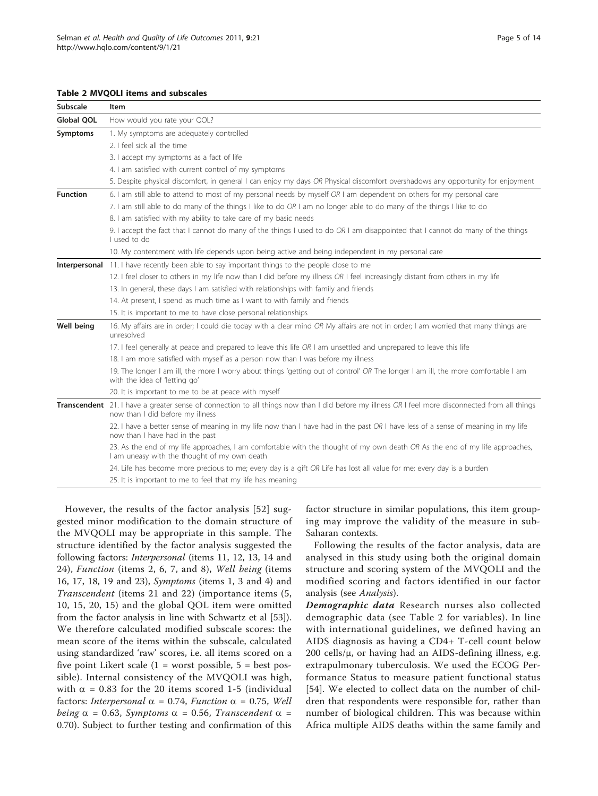#### <span id="page-4-0"></span>Table 2 MVQOLI items and subscales

| <b>Subscale</b>   | <b>Item</b>                                                                                                                                                                          |  |  |  |  |  |  |
|-------------------|--------------------------------------------------------------------------------------------------------------------------------------------------------------------------------------|--|--|--|--|--|--|
| <b>Global OOL</b> | How would you rate your QOL?                                                                                                                                                         |  |  |  |  |  |  |
| Symptoms          | 1. My symptoms are adequately controlled                                                                                                                                             |  |  |  |  |  |  |
|                   | 2. I feel sick all the time                                                                                                                                                          |  |  |  |  |  |  |
|                   | 3. I accept my symptoms as a fact of life                                                                                                                                            |  |  |  |  |  |  |
|                   | 4. I am satisfied with current control of my symptoms                                                                                                                                |  |  |  |  |  |  |
|                   | 5. Despite physical discomfort, in general I can enjoy my days OR Physical discomfort overshadows any opportunity for enjoyment                                                      |  |  |  |  |  |  |
| <b>Function</b>   | 6. I am still able to attend to most of my personal needs by myself OR I am dependent on others for my personal care                                                                 |  |  |  |  |  |  |
|                   | 7. I am still able to do many of the things I like to do OR I am no longer able to do many of the things I like to do                                                                |  |  |  |  |  |  |
|                   | 8. I am satisfied with my ability to take care of my basic needs                                                                                                                     |  |  |  |  |  |  |
|                   | 9. I accept the fact that I cannot do many of the things I used to do OR I am disappointed that I cannot do many of the things<br>Lused to do                                        |  |  |  |  |  |  |
|                   | 10. My contentment with life depends upon being active and being independent in my personal care                                                                                     |  |  |  |  |  |  |
|                   | <b>Interpersonal</b> 11. I have recently been able to say important things to the people close to me                                                                                 |  |  |  |  |  |  |
|                   | 12. I feel closer to others in my life now than I did before my illness OR I feel increasingly distant from others in my life                                                        |  |  |  |  |  |  |
|                   | 13. In general, these days I am satisfied with relationships with family and friends                                                                                                 |  |  |  |  |  |  |
|                   | 14. At present, I spend as much time as I want to with family and friends                                                                                                            |  |  |  |  |  |  |
|                   | 15. It is important to me to have close personal relationships                                                                                                                       |  |  |  |  |  |  |
| Well being        | 16. My affairs are in order; I could die today with a clear mind OR My affairs are not in order; I am worried that many things are<br>unresolved                                     |  |  |  |  |  |  |
|                   | 17. I feel generally at peace and prepared to leave this life OR I am unsettled and unprepared to leave this life                                                                    |  |  |  |  |  |  |
|                   | 18. I am more satisfied with myself as a person now than I was before my illness                                                                                                     |  |  |  |  |  |  |
|                   | 19. The longer I am ill, the more I worry about things 'getting out of control' OR The longer I am ill, the more comfortable I am<br>with the idea of 'letting go'                   |  |  |  |  |  |  |
|                   | 20. It is important to me to be at peace with myself                                                                                                                                 |  |  |  |  |  |  |
|                   | Transcendent 21. I have a greater sense of connection to all things now than I did before my illness OR I feel more disconnected from all things<br>now than I did before my illness |  |  |  |  |  |  |
|                   | 22. I have a better sense of meaning in my life now than I have had in the past OR I have less of a sense of meaning in my life<br>now than I have had in the past                   |  |  |  |  |  |  |
|                   | 23. As the end of my life approaches, I am comfortable with the thought of my own death OR As the end of my life approaches,<br>I am uneasy with the thought of my own death         |  |  |  |  |  |  |
|                   | 24. Life has become more precious to me; every day is a gift OR Life has lost all value for me; every day is a burden                                                                |  |  |  |  |  |  |
|                   | 25. It is important to me to feel that my life has meaning                                                                                                                           |  |  |  |  |  |  |

However, the results of the factor analysis [\[52\]](#page-12-0) suggested minor modification to the domain structure of the MVQOLI may be appropriate in this sample. The structure identified by the factor analysis suggested the following factors: Interpersonal (items 11, 12, 13, 14 and 24), Function (items 2, 6, 7, and 8), Well being (items 16, 17, 18, 19 and 23), Symptoms (items 1, 3 and 4) and Transcendent (items 21 and 22) (importance items (5, 10, 15, 20, 15) and the global QOL item were omitted from the factor analysis in line with Schwartz et al [\[53](#page-12-0)]). We therefore calculated modified subscale scores: the mean score of the items within the subscale, calculated using standardized 'raw' scores, i.e. all items scored on a five point Likert scale  $(1 = \text{worst possible}, 5 = \text{best pos}$ sible). Internal consistency of the MVQOLI was high, with  $\alpha$  = 0.83 for the 20 items scored 1-5 (individual factors: Interpersonal  $\alpha = 0.74$ , Function  $\alpha = 0.75$ , Well being  $\alpha = 0.63$ , Symptoms  $\alpha = 0.56$ , Transcendent  $\alpha =$ 0.70). Subject to further testing and confirmation of this factor structure in similar populations, this item grouping may improve the validity of the measure in sub-Saharan contexts.

Following the results of the factor analysis, data are analysed in this study using both the original domain structure and scoring system of the MVQOLI and the modified scoring and factors identified in our factor analysis (see Analysis).

Demographic data Research nurses also collected demographic data (see Table 2 for variables). In line with international guidelines, we defined having an AIDS diagnosis as having a CD4+ T-cell count below  $200$  cells/ $\mu$ , or having had an AIDS-defining illness, e.g. extrapulmonary tuberculosis. We used the ECOG Performance Status to measure patient functional status [[54](#page-12-0)]. We elected to collect data on the number of children that respondents were responsible for, rather than number of biological children. This was because within Africa multiple AIDS deaths within the same family and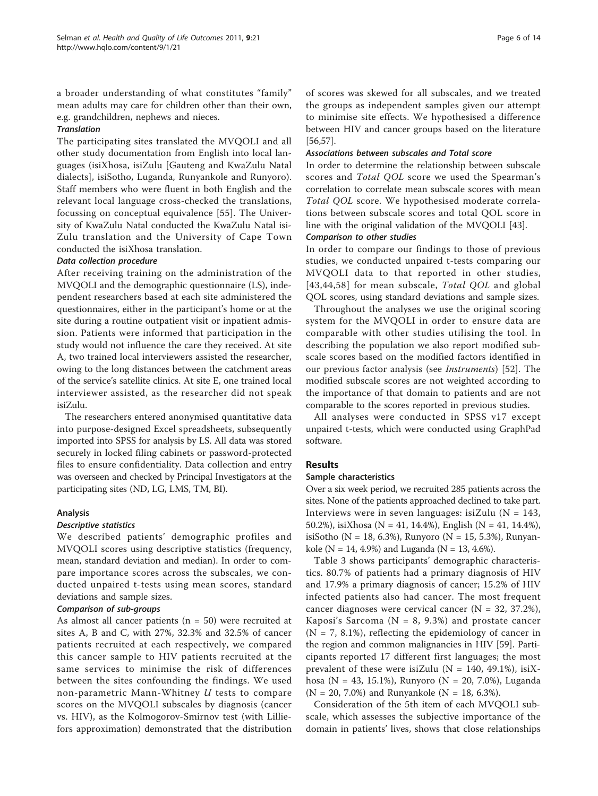a broader understanding of what constitutes "family" mean adults may care for children other than their own, e.g. grandchildren, nephews and nieces.

# **Translation**

The participating sites translated the MVQOLI and all other study documentation from English into local languages (isiXhosa, isiZulu [Gauteng and KwaZulu Natal dialects], isiSotho, Luganda, Runyankole and Runyoro). Staff members who were fluent in both English and the relevant local language cross-checked the translations, focussing on conceptual equivalence [[55](#page-12-0)]. The University of KwaZulu Natal conducted the KwaZulu Natal isi-Zulu translation and the University of Cape Town conducted the isiXhosa translation.

# Data collection procedure

After receiving training on the administration of the MVQOLI and the demographic questionnaire (LS), independent researchers based at each site administered the questionnaires, either in the participant's home or at the site during a routine outpatient visit or inpatient admission. Patients were informed that participation in the study would not influence the care they received. At site A, two trained local interviewers assisted the researcher, owing to the long distances between the catchment areas of the service's satellite clinics. At site E, one trained local interviewer assisted, as the researcher did not speak isiZulu.

The researchers entered anonymised quantitative data into purpose-designed Excel spreadsheets, subsequently imported into SPSS for analysis by LS. All data was stored securely in locked filing cabinets or password-protected files to ensure confidentiality. Data collection and entry was overseen and checked by Principal Investigators at the participating sites (ND, LG, LMS, TM, BI).

# Analysis

# Descriptive statistics

We described patients' demographic profiles and MVQOLI scores using descriptive statistics (frequency, mean, standard deviation and median). In order to compare importance scores across the subscales, we conducted unpaired t-tests using mean scores, standard deviations and sample sizes.

# Comparison of sub-groups

As almost all cancer patients ( $n = 50$ ) were recruited at sites A, B and C, with 27%, 32.3% and 32.5% of cancer patients recruited at each respectively, we compared this cancer sample to HIV patients recruited at the same services to minimise the risk of differences between the sites confounding the findings. We used non-parametric Mann-Whitney U tests to compare scores on the MVQOLI subscales by diagnosis (cancer vs. HIV), as the Kolmogorov-Smirnov test (with Lilliefors approximation) demonstrated that the distribution of scores was skewed for all subscales, and we treated the groups as independent samples given our attempt to minimise site effects. We hypothesised a difference between HIV and cancer groups based on the literature [[56,57\]](#page-12-0).

# Associations between subscales and Total score

In order to determine the relationship between subscale scores and Total QOL score we used the Spearman's correlation to correlate mean subscale scores with mean Total QOL score. We hypothesised moderate correlations between subscale scores and total QOL score in line with the original validation of the MVQOLI [\[43](#page-12-0)].

## Comparison to other studies

In order to compare our findings to those of previous studies, we conducted unpaired t-tests comparing our MVQOLI data to that reported in other studies, [[43,44](#page-12-0),[58](#page-12-0)] for mean subscale, Total QOL and global QOL scores, using standard deviations and sample sizes.

Throughout the analyses we use the original scoring system for the MVQOLI in order to ensure data are comparable with other studies utilising the tool. In describing the population we also report modified subscale scores based on the modified factors identified in our previous factor analysis (see Instruments) [\[52](#page-12-0)]. The modified subscale scores are not weighted according to the importance of that domain to patients and are not comparable to the scores reported in previous studies.

All analyses were conducted in SPSS v17 except unpaired t-tests, which were conducted using GraphPad software.

# Results

### Sample characteristics

Over a six week period, we recruited 285 patients across the sites. None of the patients approached declined to take part. Interviews were in seven languages: isiZulu ( $N = 143$ , 50.2%), isiXhosa (N = 41, 14.4%), English (N = 41, 14.4%), isiSotho (N = 18, 6.3%), Runyoro (N = 15, 5.3%), Runyankole (N = 14, 4.9%) and Luganda (N = 13, 4.6%).

Table [3](#page-6-0) shows participants' demographic characteristics. 80.7% of patients had a primary diagnosis of HIV and 17.9% a primary diagnosis of cancer; 15.2% of HIV infected patients also had cancer. The most frequent cancer diagnoses were cervical cancer  $(N = 32, 37.2\%)$ , Kaposi's Sarcoma ( $N = 8$ , 9.3%) and prostate cancer  $(N = 7, 8.1\%)$ , reflecting the epidemiology of cancer in the region and common malignancies in HIV [[59](#page-12-0)]. Participants reported 17 different first languages; the most prevalent of these were isiZulu ( $N = 140, 49.1\%$ ), isiXhosa (N = 43, 15.1%), Runyoro (N = 20, 7.0%), Luganda  $(N = 20, 7.0\%)$  and Runyankole (N = 18, 6.3%).

Consideration of the 5th item of each MVQOLI subscale, which assesses the subjective importance of the domain in patients' lives, shows that close relationships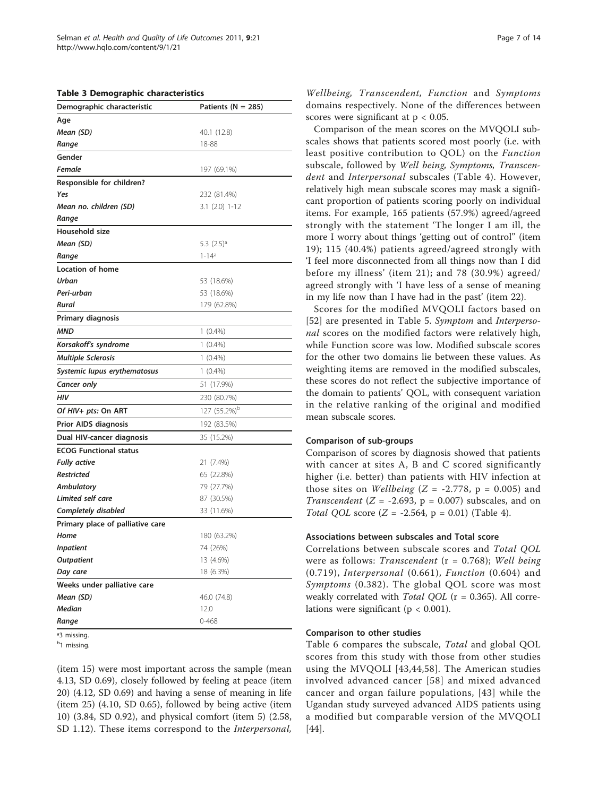<span id="page-6-0"></span>Table 3 Demographic characteristics

| Demographic characteristic       | Patients ( $N = 285$ )   |
|----------------------------------|--------------------------|
| Age                              |                          |
| Mean (SD)                        | 40.1 (12.8)              |
| Range                            | 18-88                    |
| Gender                           |                          |
| Female                           | 197 (69.1%)              |
| Responsible for children?        |                          |
| Yes                              | 232 (81.4%)              |
| Mean no. children (SD)           | $3.1$ $(2.0)$ 1-12       |
| Range                            |                          |
| Household size                   |                          |
| Mean (SD)                        | 5.3 $(2.5)$ <sup>a</sup> |
| Range                            | $1 - 14a$                |
| <b>Location of home</b>          |                          |
| Urban                            | 53 (18.6%)               |
| Peri-urban                       | 53 (18.6%)               |
| Rural                            | 179 (62.8%)              |
| Primary diagnosis                |                          |
| <b>MND</b>                       | $1(0.4\%)$               |
| Korsakoff's syndrome             | $1(0.4\%)$               |
| <b>Multiple Sclerosis</b>        | $1(0.4\%)$               |
| Systemic lupus erythematosus     | $1(0.4\%)$               |
| Cancer only                      | 51 (17.9%)               |
| <b>HIV</b>                       | 230 (80.7%)              |
| Of HIV+ pts: On ART              | 127 (55.2%) <sup>b</sup> |
| Prior AIDS diagnosis             | 192 (83.5%)              |
| Dual HIV-cancer diagnosis        | 35 (15.2%)               |
| <b>ECOG Functional status</b>    |                          |
| <b>Fully active</b>              | 21 (7.4%)                |
| <b>Restricted</b>                | 65 (22.8%)               |
| <b>Ambulatory</b>                | 79 (27.7%)               |
| Limited self care                | 87 (30.5%)               |
| Completely disabled              | 33 (11.6%)               |
| Primary place of palliative care |                          |
| Home                             | 180 (63.2%)              |
| Inpatient                        | 74 (26%)                 |
| Outpatient                       | 13 (4.6%)                |
| Day care                         | 18 (6.3%)                |
| Weeks under palliative care      |                          |
| Mean (SD)                        | 46.0 (74.8)              |
| Median                           | 12.0                     |
| Range                            | 0-468                    |
| <sup>a</sup> 3 missing.          |                          |

<sup>b</sup>1 missing.

(item 15) were most important across the sample (mean 4.13, SD 0.69), closely followed by feeling at peace (item 20) (4.12, SD 0.69) and having a sense of meaning in life (item 25) (4.10, SD 0.65), followed by being active (item 10) (3.84, SD 0.92), and physical comfort (item 5) (2.58, SD 1.12). These items correspond to the *Interpersonal*,

Wellbeing, Transcendent, Function and Symptoms domains respectively. None of the differences between scores were significant at  $p < 0.05$ .

Comparison of the mean scores on the MVQOLI subscales shows that patients scored most poorly (i.e. with least positive contribution to QOL) on the Function subscale, followed by Well being, Symptoms, Transcendent and Interpersonal subscales (Table [4](#page-7-0)). However, relatively high mean subscale scores may mask a significant proportion of patients scoring poorly on individual items. For example, 165 patients (57.9%) agreed/agreed strongly with the statement 'The longer I am ill, the more I worry about things 'getting out of control'' (item 19); 115 (40.4%) patients agreed/agreed strongly with 'I feel more disconnected from all things now than I did before my illness' (item 21); and 78 (30.9%) agreed/ agreed strongly with 'I have less of a sense of meaning in my life now than I have had in the past' (item 22).

Scores for the modified MVQOLI factors based on [[52\]](#page-12-0) are presented in Table [5.](#page-7-0) Symptom and Interpersonal scores on the modified factors were relatively high, while Function score was low. Modified subscale scores for the other two domains lie between these values. As weighting items are removed in the modified subscales, these scores do not reflect the subjective importance of the domain to patients' QOL, with consequent variation in the relative ranking of the original and modified mean subscale scores.

# Comparison of sub-groups

Comparison of scores by diagnosis showed that patients with cancer at sites A, B and C scored significantly higher (i.e. better) than patients with HIV infection at those sites on *Wellbeing* ( $Z = -2.778$ ,  $p = 0.005$ ) and Transcendent ( $Z = -2.693$ ,  $p = 0.007$ ) subscales, and on Total QOL score  $(Z = -2.564, p = 0.01)$  (Table [4\)](#page-7-0).

# Associations between subscales and Total score

Correlations between subscale scores and Total QOL were as follows: Transcendent ( $r = 0.768$ ); Well being (0.719), Interpersonal (0.661), Function (0.604) and Symptoms (0.382). The global QOL score was most weakly correlated with Total QOL (r = 0.365). All correlations were significant ( $p < 0.001$ ).

# Comparison to other studies

Table [6](#page-8-0) compares the subscale, Total and global QOL scores from this study with those from other studies using the MVQOLI [[43,44](#page-12-0),[58](#page-12-0)]. The American studies involved advanced cancer [[58\]](#page-12-0) and mixed advanced cancer and organ failure populations, [[43](#page-12-0)] while the Ugandan study surveyed advanced AIDS patients using a modified but comparable version of the MVQOLI [[44\]](#page-12-0).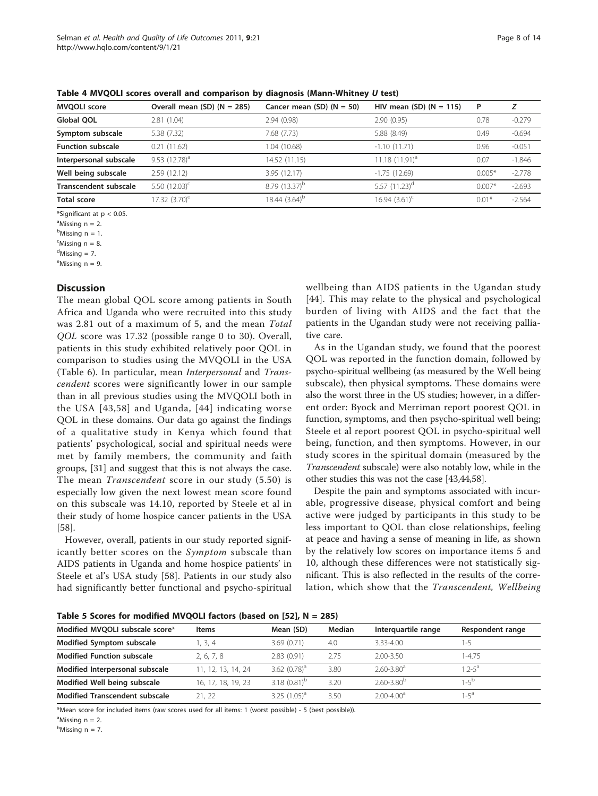| <b>MVQOLI</b> score      | Overall mean $(SD)$ (N = 285) | Cancer mean $(SD)$ $(N = 50)$ | HIV mean $(SD)$ (N = 115)   | P        | 7        |
|--------------------------|-------------------------------|-------------------------------|-----------------------------|----------|----------|
| Global QOL               | 2.81(1.04)                    | 2.94(0.98)                    | 2.90(0.95)                  | 0.78     | $-0.279$ |
| Symptom subscale         | 5.38 (7.32)                   | 7.68 (7.73)                   | 5.88 (8.49)                 | 0.49     | $-0.694$ |
| <b>Function subscale</b> | 0.21(11.62)                   | 1.04 (10.68)                  | $-1.10(11.71)$              | 0.96     | $-0.051$ |
| Interpersonal subscale   | 9.53 $(12.78)^a$              | 14.52 (11.15)                 | $11.18(11.91)^a$            | 0.07     | $-1.846$ |
| Well being subscale      | 2.59(12.12)                   | 3.95(12.17)                   | $-1.75(12.69)$              | $0.005*$ | $-2.778$ |
| Transcendent subscale    | 5.50 $(12.03)^{c}$            | $8.79(13.37)^b$               | 5.57 $(11.23)$ <sup>d</sup> | $0.007*$ | $-2.693$ |
| <b>Total score</b>       | 17.32 (3.70) <sup>e</sup>     | 18.44 (3.64) <sup>b</sup>     | $16.94~(3.61)^c$            | $0.01*$  | $-2.564$ |

<span id="page-7-0"></span>Table 4 MVQOLI scores overall and comparison by diagnosis (Mann-Whitney U test)

\*Significant at  $p < 0.05$ .

 $a^a$ Missing n = 2.

<sup>b</sup>Missing n = 1.

 $\mathrm{c}^{\mathrm{c}}$ Missing n = 8.

<sup>d</sup>Missing = 7.

<sup>e</sup>Missing n = 9.

# **Discussion**

The mean global QOL score among patients in South Africa and Uganda who were recruited into this study was 2.81 out of a maximum of 5, and the mean Total QOL score was 17.32 (possible range 0 to 30). Overall, patients in this study exhibited relatively poor QOL in comparison to studies using the MVQOLI in the USA (Table [6\)](#page-8-0). In particular, mean Interpersonal and Transcendent scores were significantly lower in our sample than in all previous studies using the MVQOLI both in the USA [[43](#page-12-0),[58\]](#page-12-0) and Uganda, [[44\]](#page-12-0) indicating worse QOL in these domains. Our data go against the findings of a qualitative study in Kenya which found that patients' psychological, social and spiritual needs were met by family members, the community and faith groups, [\[31\]](#page-12-0) and suggest that this is not always the case. The mean *Transcendent* score in our study (5.50) is especially low given the next lowest mean score found on this subscale was 14.10, reported by Steele et al in their study of home hospice cancer patients in the USA [[58\]](#page-12-0).

However, overall, patients in our study reported significantly better scores on the Symptom subscale than AIDS patients in Uganda and home hospice patients' in Steele et al's USA study [[58\]](#page-12-0). Patients in our study also had significantly better functional and psycho-spiritual wellbeing than AIDS patients in the Ugandan study [[44](#page-12-0)]. This may relate to the physical and psychological burden of living with AIDS and the fact that the patients in the Ugandan study were not receiving palliative care.

As in the Ugandan study, we found that the poorest QOL was reported in the function domain, followed by psycho-spiritual wellbeing (as measured by the Well being subscale), then physical symptoms. These domains were also the worst three in the US studies; however, in a different order: Byock and Merriman report poorest QOL in function, symptoms, and then psycho-spiritual well being; Steele et al report poorest QOL in psycho-spiritual well being, function, and then symptoms. However, in our study scores in the spiritual domain (measured by the Transcendent subscale) were also notably low, while in the other studies this was not the case [[43,44,58\]](#page-12-0).

Despite the pain and symptoms associated with incurable, progressive disease, physical comfort and being active were judged by participants in this study to be less important to QOL than close relationships, feeling at peace and having a sense of meaning in life, as shown by the relatively low scores on importance items 5 and 10, although these differences were not statistically significant. This is also reflected in the results of the correlation, which show that the Transcendent, Wellbeing

Table 5 Scores for modified MVQOLI factors (based on [[52\]](#page-12-0),  $N = 285$ )

| Modified MVQOLI subscale score*       | <b>Items</b>       | Mean (SD)         | Median | Interguartile range        | Respondent range |
|---------------------------------------|--------------------|-------------------|--------|----------------------------|------------------|
| Modified Symptom subscale             | 1, 3, 4            | 3.69(0.71)        | 4.0    | 3.33-4.00                  | ל-1              |
| <b>Modified Function subscale</b>     | 2, 6, 7, 8         | 2.83(0.91)        | 2.75   | 2.00-3.50                  | $1 - 4.75$       |
| Modified Interpersonal subscale       | 11, 12, 13, 14, 24 | 3.62 $(0.78)^a$   | 3.80   | $260 - 380$ <sup>a</sup>   | $12-5^a$         |
| Modified Well being subscale          | 16, 17, 18, 19, 23 | 3.18 $(0.81)^b$   | 3.20   | 260-380 <sup>b</sup>       | $1 - 5^{b}$      |
| <b>Modified Transcendent subscale</b> | 21, 22             | 3.25 $(1.05)^{a}$ | 3.50   | $2.00 - 4.00$ <sup>a</sup> | $1 - 5^a$        |

\*Mean score for included items (raw scores used for all items: 1 (worst possible) - 5 (best possible)).

<sup>a</sup>Missing n = 2.

 $^{\rm b}$ Missing n = 7.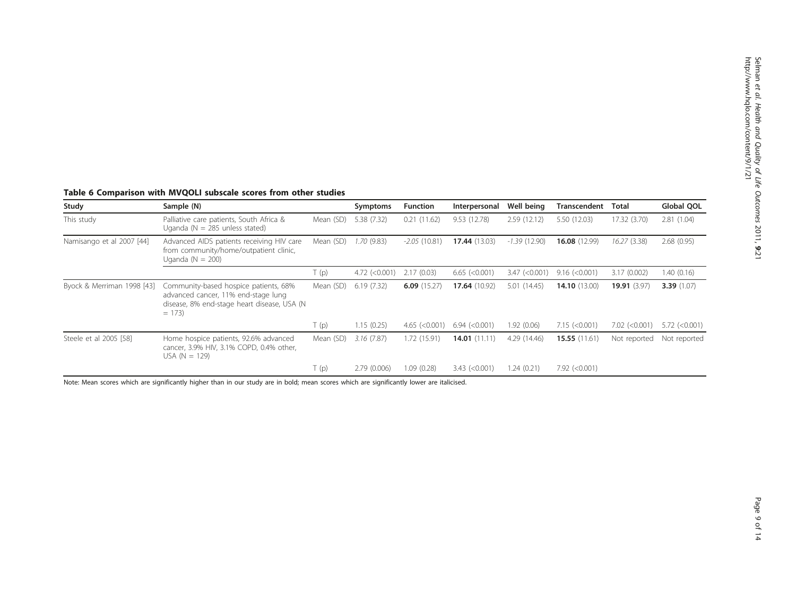| Study                      | Sample (N)                                                                                                                             |                     | Symptoms        | <b>Function</b> | Interpersonal          | Well being     | Transcendent    | Total           | Global QOL      |
|----------------------------|----------------------------------------------------------------------------------------------------------------------------------------|---------------------|-----------------|-----------------|------------------------|----------------|-----------------|-----------------|-----------------|
| This study                 | Palliative care patients, South Africa &<br>Uganda ( $N = 285$ unless stated)                                                          | Mean (SD)           | 5.38 (7.32)     | 0.21(11.62)     | 9.53 (12.78)           | 2.59(12.12)    | 5.50 (12.03)    | 17.32 (3.70)    | 2.81(1.04)      |
| Namisango et al 2007 [44]  | Advanced AIDS patients receiving HIV care<br>from community/home/outpatient clinic,<br>Uganda ( $N = 200$ )                            | Mean (SD)           | 1.70 (9.83)     | $-2.05(10.81)$  | 17.44 (13.03)          | $-1.39(12.90)$ | 16.08 (12.99)   | 16.27 (3.38)    | 2.68(0.95)      |
|                            |                                                                                                                                        | $\lceil (p) \rceil$ | $4.72$ (<0.001) | 2.17(0.03)      | $6.65$ (< $0.001$ )    | 3.47 (< 0.001) | 9.16 (< 0.001)  | 3.17(0.002)     | 1.40 (0.16)     |
| Byock & Merriman 1998 [43] | Community-based hospice patients, 68%<br>advanced cancer, 11% end-stage lung<br>disease, 8% end-stage heart disease, USA (N<br>$= 173$ | Mean (SD)           | 6.19(7.32)      | 6.09(15.27)     | <b>17.64</b> $(10.92)$ | 5.01 (14.45)   | 14.10 (13.00)   | 19.91(3.97)     | 3.39(1.07)      |
|                            |                                                                                                                                        | T(p)                | 1.15(0.25)      | $4.65$ (<0.001) | 6.94 (< 0.001)         | 1.92(0.06)     | 7.15 (< 0.001)  | $7.02$ (<0.001) | $5.72$ (<0.001) |
| Steele et al 2005 [58]     | Home hospice patients, 92.6% advanced<br>cancer, 3.9% HIV, 3.1% COPD, 0.4% other,<br>USA ( $N = 129$ )                                 | Mean (SD)           | 3.16(7.87)      | 1.72 (15.91)    | 14.01(11.11)           | 4.29 (14.46)   | 15.55(11.61)    | Not reported    | Not reported    |
|                            |                                                                                                                                        | T(p)                | 2.79(0.006)     | 1.09(0.28)      | 3.43 (< 0.001)         | 1.24 (0.21)    | $7.92$ (<0.001) |                 |                 |

<span id="page-8-0"></span>Table 6 Comparison with MVQOLI subscale scores from other studies

Note: Mean scores which are significantly higher than in our study are in bold; mean scores which are significantly lower are italicised.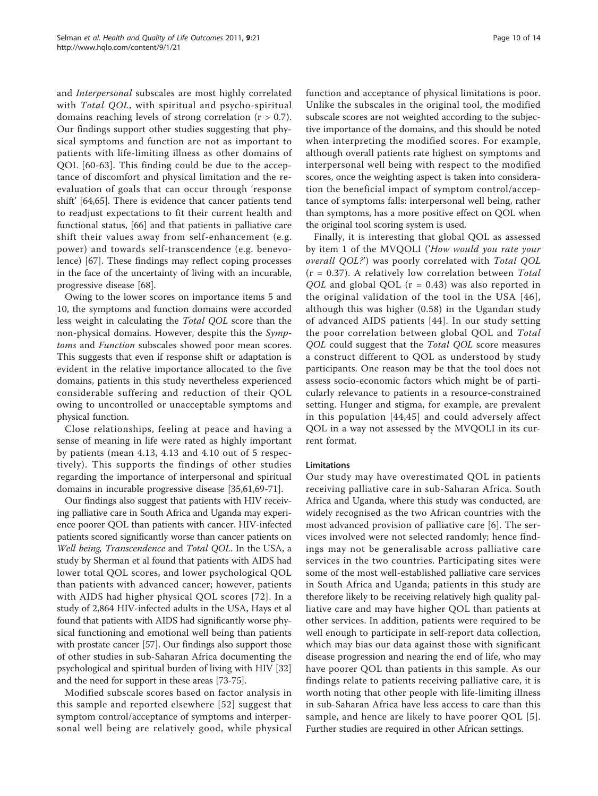and Interpersonal subscales are most highly correlated with Total QOL, with spiritual and psycho-spiritual domains reaching levels of strong correlation (r > 0.7). Our findings support other studies suggesting that physical symptoms and function are not as important to patients with life-limiting illness as other domains of QOL [[60](#page-12-0)-[63](#page-12-0)]. This finding could be due to the acceptance of discomfort and physical limitation and the reevaluation of goals that can occur through 'response shift' [[64](#page-12-0),[65](#page-12-0)]. There is evidence that cancer patients tend to readjust expectations to fit their current health and functional status, [\[66](#page-12-0)] and that patients in palliative care shift their values away from self-enhancement (e.g. power) and towards self-transcendence (e.g. benevolence) [[67\]](#page-12-0). These findings may reflect coping processes in the face of the uncertainty of living with an incurable, progressive disease [\[68](#page-12-0)].

Owing to the lower scores on importance items 5 and 10, the symptoms and function domains were accorded less weight in calculating the Total QOL score than the non-physical domains. However, despite this the Symptoms and Function subscales showed poor mean scores. This suggests that even if response shift or adaptation is evident in the relative importance allocated to the five domains, patients in this study nevertheless experienced considerable suffering and reduction of their QOL owing to uncontrolled or unacceptable symptoms and physical function.

Close relationships, feeling at peace and having a sense of meaning in life were rated as highly important by patients (mean 4.13, 4.13 and 4.10 out of 5 respectively). This supports the findings of other studies regarding the importance of interpersonal and spiritual domains in incurable progressive disease [\[35,61,69-](#page-12-0)[71\]](#page-13-0).

Our findings also suggest that patients with HIV receiving palliative care in South Africa and Uganda may experience poorer QOL than patients with cancer. HIV-infected patients scored significantly worse than cancer patients on Well being, Transcendence and Total QOL. In the USA, a study by Sherman et al found that patients with AIDS had lower total QOL scores, and lower psychological QOL than patients with advanced cancer; however, patients with AIDS had higher physical QOL scores [[72](#page-13-0)]. In a study of 2,864 HIV-infected adults in the USA, Hays et al found that patients with AIDS had significantly worse physical functioning and emotional well being than patients with prostate cancer [[57](#page-12-0)]. Our findings also support those of other studies in sub-Saharan Africa documenting the psychological and spiritual burden of living with HIV [[32](#page-12-0)] and the need for support in these areas [[73](#page-13-0)-[75](#page-13-0)].

Modified subscale scores based on factor analysis in this sample and reported elsewhere [\[52\]](#page-12-0) suggest that symptom control/acceptance of symptoms and interpersonal well being are relatively good, while physical function and acceptance of physical limitations is poor. Unlike the subscales in the original tool, the modified subscale scores are not weighted according to the subjective importance of the domains, and this should be noted when interpreting the modified scores. For example, although overall patients rate highest on symptoms and interpersonal well being with respect to the modified scores, once the weighting aspect is taken into consideration the beneficial impact of symptom control/acceptance of symptoms falls: interpersonal well being, rather than symptoms, has a more positive effect on QOL when the original tool scoring system is used.

Finally, it is interesting that global QOL as assessed by item 1 of the MVQOLI ('How would you rate your overall QOL?') was poorly correlated with Total QOL  $(r = 0.37)$ . A relatively low correlation between Total QOL and global QOL (r = 0.43) was also reported in the original validation of the tool in the USA [[46\]](#page-12-0), although this was higher (0.58) in the Ugandan study of advanced AIDS patients [\[44\]](#page-12-0). In our study setting the poor correlation between global QOL and Total QOL could suggest that the Total QOL score measures a construct different to QOL as understood by study participants. One reason may be that the tool does not assess socio-economic factors which might be of particularly relevance to patients in a resource-constrained setting. Hunger and stigma, for example, are prevalent in this population [[44](#page-12-0),[45](#page-12-0)] and could adversely affect QOL in a way not assessed by the MVQOLI in its current format.

# Limitations

Our study may have overestimated QOL in patients receiving palliative care in sub-Saharan Africa. South Africa and Uganda, where this study was conducted, are widely recognised as the two African countries with the most advanced provision of palliative care [\[6](#page-11-0)]. The services involved were not selected randomly; hence findings may not be generalisable across palliative care services in the two countries. Participating sites were some of the most well-established palliative care services in South Africa and Uganda; patients in this study are therefore likely to be receiving relatively high quality palliative care and may have higher QOL than patients at other services. In addition, patients were required to be well enough to participate in self-report data collection, which may bias our data against those with significant disease progression and nearing the end of life, who may have poorer QOL than patients in this sample. As our findings relate to patients receiving palliative care, it is worth noting that other people with life-limiting illness in sub-Saharan Africa have less access to care than this sample, and hence are likely to have poorer QOL [[5\]](#page-11-0). Further studies are required in other African settings.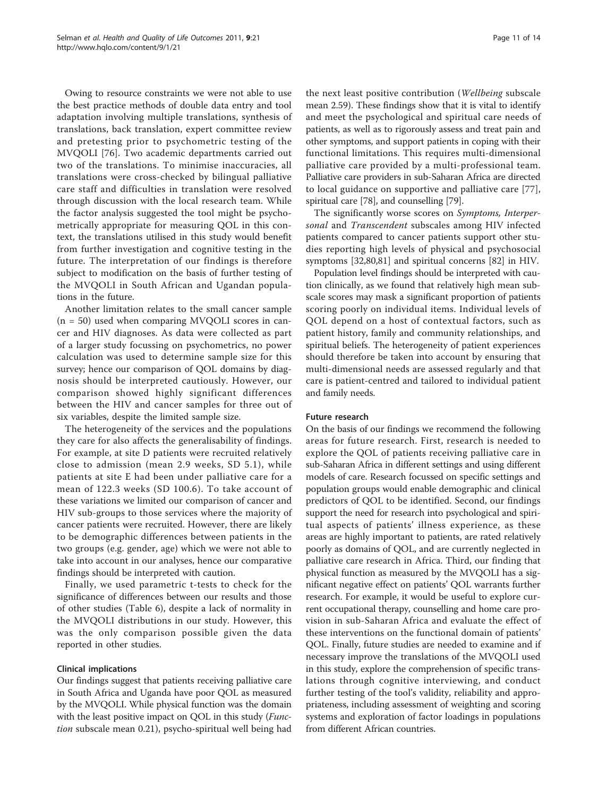Owing to resource constraints we were not able to use the best practice methods of double data entry and tool adaptation involving multiple translations, synthesis of translations, back translation, expert committee review and pretesting prior to psychometric testing of the MVQOLI [\[76](#page-13-0)]. Two academic departments carried out two of the translations. To minimise inaccuracies, all translations were cross-checked by bilingual palliative care staff and difficulties in translation were resolved through discussion with the local research team. While the factor analysis suggested the tool might be psychometrically appropriate for measuring QOL in this context, the translations utilised in this study would benefit from further investigation and cognitive testing in the future. The interpretation of our findings is therefore subject to modification on the basis of further testing of the MVQOLI in South African and Ugandan populations in the future.

Another limitation relates to the small cancer sample  $(n = 50)$  used when comparing MVQOLI scores in cancer and HIV diagnoses. As data were collected as part of a larger study focussing on psychometrics, no power calculation was used to determine sample size for this survey; hence our comparison of QOL domains by diagnosis should be interpreted cautiously. However, our comparison showed highly significant differences between the HIV and cancer samples for three out of six variables, despite the limited sample size.

The heterogeneity of the services and the populations they care for also affects the generalisability of findings. For example, at site D patients were recruited relatively close to admission (mean 2.9 weeks, SD 5.1), while patients at site E had been under palliative care for a mean of 122.3 weeks (SD 100.6). To take account of these variations we limited our comparison of cancer and HIV sub-groups to those services where the majority of cancer patients were recruited. However, there are likely to be demographic differences between patients in the two groups (e.g. gender, age) which we were not able to take into account in our analyses, hence our comparative findings should be interpreted with caution.

Finally, we used parametric t-tests to check for the significance of differences between our results and those of other studies (Table [6\)](#page-8-0), despite a lack of normality in the MVQOLI distributions in our study. However, this was the only comparison possible given the data reported in other studies.

# Clinical implications

Our findings suggest that patients receiving palliative care in South Africa and Uganda have poor QOL as measured by the MVQOLI. While physical function was the domain with the least positive impact on QOL in this study (Function subscale mean 0.21), psycho-spiritual well being had

the next least positive contribution (Wellbeing subscale mean 2.59). These findings show that it is vital to identify and meet the psychological and spiritual care needs of patients, as well as to rigorously assess and treat pain and other symptoms, and support patients in coping with their functional limitations. This requires multi-dimensional palliative care provided by a multi-professional team. Palliative care providers in sub-Saharan Africa are directed to local guidance on supportive and palliative care [[77](#page-13-0)], spiritual care [[78](#page-13-0)], and counselling [\[79\]](#page-13-0).

The significantly worse scores on Symptoms, Interpersonal and Transcendent subscales among HIV infected patients compared to cancer patients support other studies reporting high levels of physical and psychosocial symptoms [[32](#page-12-0),[80,81](#page-13-0)] and spiritual concerns [\[82\]](#page-13-0) in HIV.

Population level findings should be interpreted with caution clinically, as we found that relatively high mean subscale scores may mask a significant proportion of patients scoring poorly on individual items. Individual levels of QOL depend on a host of contextual factors, such as patient history, family and community relationships, and spiritual beliefs. The heterogeneity of patient experiences should therefore be taken into account by ensuring that multi-dimensional needs are assessed regularly and that care is patient-centred and tailored to individual patient and family needs.

# Future research

On the basis of our findings we recommend the following areas for future research. First, research is needed to explore the QOL of patients receiving palliative care in sub-Saharan Africa in different settings and using different models of care. Research focussed on specific settings and population groups would enable demographic and clinical predictors of QOL to be identified. Second, our findings support the need for research into psychological and spiritual aspects of patients' illness experience, as these areas are highly important to patients, are rated relatively poorly as domains of QOL, and are currently neglected in palliative care research in Africa. Third, our finding that physical function as measured by the MVQOLI has a significant negative effect on patients' QOL warrants further research. For example, it would be useful to explore current occupational therapy, counselling and home care provision in sub-Saharan Africa and evaluate the effect of these interventions on the functional domain of patients' QOL. Finally, future studies are needed to examine and if necessary improve the translations of the MVQOLI used in this study, explore the comprehension of specific translations through cognitive interviewing, and conduct further testing of the tool's validity, reliability and appropriateness, including assessment of weighting and scoring systems and exploration of factor loadings in populations from different African countries.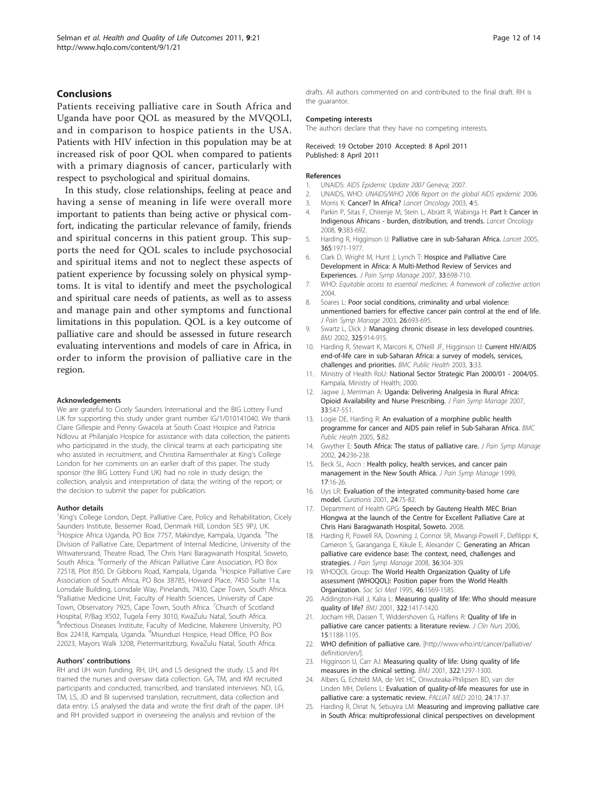# <span id="page-11-0"></span>Conclusions

Patients receiving palliative care in South Africa and Uganda have poor QOL as measured by the MVQOLI, and in comparison to hospice patients in the USA. Patients with HIV infection in this population may be at increased risk of poor QOL when compared to patients with a primary diagnosis of cancer, particularly with respect to psychological and spiritual domains.

In this study, close relationships, feeling at peace and having a sense of meaning in life were overall more important to patients than being active or physical comfort, indicating the particular relevance of family, friends and spiritual concerns in this patient group. This supports the need for QOL scales to include psychosocial and spiritual items and not to neglect these aspects of patient experience by focussing solely on physical symptoms. It is vital to identify and meet the psychological and spiritual care needs of patients, as well as to assess and manage pain and other symptoms and functional limitations in this population. QOL is a key outcome of palliative care and should be assessed in future research evaluating interventions and models of care in Africa, in order to inform the provision of palliative care in the region.

#### Acknowledgements

We are grateful to Cicely Saunders International and the BIG Lottery Fund UK for supporting this study under grant number IG/1/010141040. We thank Claire Gillespie and Penny Gwacela at South Coast Hospice and Patricia Ndlovu at Philanjalo Hospice for assistance with data collection, the patients who participated in the study, the clinical teams at each participating site who assisted in recruitment, and Christina Ramsenthaler at King's College London for her comments on an earlier draft of this paper. The study sponsor (the BIG Lottery Fund UK) had no role in study design; the collection, analysis and interpretation of data; the writing of the report; or the decision to submit the paper for publication.

#### Author details

<sup>1</sup>King's College London, Dept. Palliative Care, Policy and Rehabilitation, Cicely Saunders Institute, Bessemer Road, Denmark Hill, London SE5 9PJ, UK. <sup>2</sup>Hospice Africa Uganda, PO Box 7757, Makindye, Kampala, Uganda. <sup>3</sup>The Division of Palliative Care, Department of Internal Medicine, University of the Witwatersrand, Theatre Road, The Chris Hani Baragwanath Hospital, Soweto, South Africa. <sup>4</sup>Formerly of the African Palliative Care Association, PO Box 72518, Plot 850, Dr Gibbons Road, Kampala, Uganda. <sup>5</sup>Hospice Palliative Care Association of South Africa, PO Box 38785, Howard Place, 7450 Suite 11a, Lonsdale Building, Lonsdale Way, Pinelands, 7430, Cape Town, South Africa. <sup>6</sup>Palliative Medicine Unit, Faculty of Health Sciences, University of Cape Town, Observatory 7925, Cape Town, South Africa. <sup>7</sup>Church of Scotland Hospital, P/Bag X502, Tugela Ferry 3010, KwaZulu Natal, South Africa. <sup>8</sup>Infectious Diseases Institute, Faculty of Medicine, Makerere University, PO Box 22418, Kampala, Uganda. <sup>9</sup>Msunduzi Hospice, Head Office, PO Box 22023, Mayors Walk 3208, Pietermaritzburg, KwaZulu Natal, South Africa.

#### Authors' contributions

RH and IJH won funding. RH, IJH, and LS designed the study. LS and RH trained the nurses and oversaw data collection. GA, TM, and KM recruited participants and conducted, transcribed, and translated interviews. ND, LG, TM, LS, JD and BI supervised translation, recruitment, data collection and data entry. LS analysed the data and wrote the first draft of the paper. IJH and RH provided support in overseeing the analysis and revision of the

drafts. All authors commented on and contributed to the final draft. RH is the quarantor.

#### Competing interests

The authors declare that they have no competing interests.

Received: 19 October 2010 Accepted: 8 April 2011 Published: 8 April 2011

#### References

- UNAIDS: AIDS Epidemic Update 2007 Geneva; 2007
- 2. UNAIDS, WHO: UNAIDS/WHO 2006 Report on the global AIDS epidemic 2006.
- 
- 3. Morris K: [Cancer? In Africa?](http://www.ncbi.nlm.nih.gov/pubmed/12517528?dopt=Abstract) Lancet Oncology 2003, 4:5.<br>4. Parkin P, Sitas F, Chirenje M, Stein L, Abratt R, Wabinga Parkin P, Sitas F, Chirenje M, Stein L, Abratt R, Wabinga H: Part I: Cancer in Indigenous Africans - burden, distribution, and trends. Lancet Oncology 2008, 9:383-692.
- 5. Harding R, Higginson IJ: [Palliative care in sub-Saharan Africa.](http://www.ncbi.nlm.nih.gov/pubmed/15936427?dopt=Abstract) Lancet 2005, 365:1971-1977.
- 6. Clark D, Wright M, Hunt J, Lynch T: Hospice and Palliative Care Development in Africa: A Multi-Method Review of Services and Experiences. J Pain Symp Manage 2007, 33:698-710.
- 7. WHO: Equitable access to essential medicines: A framework of collective action 2004.
- 8. Soares L: Poor social conditions, criminality and urbal violence: unmentioned barriers for effective cancer pain control at the end of life. J Pain Symp Manage 2003, 26:693-695.
- 9. Swartz L, Dick J: [Managing chronic disease in less developed countries.](http://www.ncbi.nlm.nih.gov/pubmed/12399322?dopt=Abstract) BMJ 2002, 325:914-915.
- 10. Harding R, Stewart K, Marconi K, O'Neill JF, Higginson IJ: [Current HIV/AIDS](http://www.ncbi.nlm.nih.gov/pubmed/14572317?dopt=Abstract) [end-of-life care in sub-Saharan Africa: a survey of models, services,](http://www.ncbi.nlm.nih.gov/pubmed/14572317?dopt=Abstract) [challenges and priorities.](http://www.ncbi.nlm.nih.gov/pubmed/14572317?dopt=Abstract) BMC Public Health 2003, 3:33.
- 11. Ministry of Health RoU: National Sector Strategic Plan 2000/01 2004/05. Kampala, Ministry of Health; 2000.
- 12. Jagwe J, Merriman A: Uganda: Delivering Analgesia in Rural Africa: Opioid Availability and Nurse Prescribing. J Pain Symp Manage 2007, 33:547-551.
- 13. Logie DE, Harding R: [An evaluation of a morphine public health](http://www.ncbi.nlm.nih.gov/pubmed/16092958?dopt=Abstract) [programme for cancer and AIDS pain relief in Sub-Saharan Africa.](http://www.ncbi.nlm.nih.gov/pubmed/16092958?dopt=Abstract) BMC Public Health 2005, 5:82.
- 14. Gwyther E: South Africa: The status of palliative care. J Pain Symp Manage 2002, 24:236-238.
- 15. Beck SL, Aocn : Health policy, health services, and cancer pain management in the New South Africa. J Pain Symp Manage 1999, 17:16-26.
- 16. Uys LR: [Evaluation of the integrated community-based home care](http://www.ncbi.nlm.nih.gov/pubmed/11971606?dopt=Abstract) [model.](http://www.ncbi.nlm.nih.gov/pubmed/11971606?dopt=Abstract) Curationis 2001, 24:75-82.
- 17. Department of Health GPG: Speech by Gauteng Health MEC Brian Hlongwa at the launch of the Centre for Excellent Palliative Care at Chris Hani Baragwanath Hospital, Soweto. 2008.
- 18. Harding R, Powell RA, Downing J, Connor SR, Mwangi-Powell F, Defilippi K, Cameron S, Garanganga E, Kikule E, Alexander C: Generating an African palliative care evidence base: The context, need, challenges and strategies. J Pain Symp Manage 2008, 36:304-309.
- 19. WHOQOL Group: The World Health Organization Quality of Life assessment (WHOQOL): Position paper from the World Health Organization. Soc Sci Med 1995, 46:1569-1585.
- 20. Addington-Hall J, Kalra L: [Measuring quality of life: Who should measure](http://www.ncbi.nlm.nih.gov/pubmed/11397754?dopt=Abstract) [quality of life?](http://www.ncbi.nlm.nih.gov/pubmed/11397754?dopt=Abstract) BMJ 2001, 322:1417-1420.
- 21. Jocham HR, Dassen T, Widdershoven G, Halfens R: [Quality of life in](http://www.ncbi.nlm.nih.gov/pubmed/16911060?dopt=Abstract) [palliative care cancer patients: a literature review.](http://www.ncbi.nlm.nih.gov/pubmed/16911060?dopt=Abstract) J Clin Nurs 2006, 15:1188-1195.
- 22. WHO definition of palliative care. [\[http://www.who.int/cancer/palliative/](http://www.who.int/cancer/palliative/definition/en/) [definition/en/\]](http://www.who.int/cancer/palliative/definition/en/).
- 23. Higginson IJ, Carr AJ: [Measuring quality of life: Using quality of life](http://www.ncbi.nlm.nih.gov/pubmed/11375237?dopt=Abstract) [measures in the clinical setting.](http://www.ncbi.nlm.nih.gov/pubmed/11375237?dopt=Abstract) BMJ 2001, 322:1297-1300.
- 24. Albers G, Echteld MA, de Vet HC, Onwuteaka-Philipsen BD, van der Linden MH, Deliens L: [Evaluation of quality-of-life measures for use in](http://www.ncbi.nlm.nih.gov/pubmed/19843620?dopt=Abstract) [palliative care: a systematic review.](http://www.ncbi.nlm.nih.gov/pubmed/19843620?dopt=Abstract) PALLIAT MED 2010, 24:17-37.
- 25. Harding R, Dinat N, Sebuyira LM: Measuring and improving palliative care in South Africa: multiprofessional clinical perspectives on development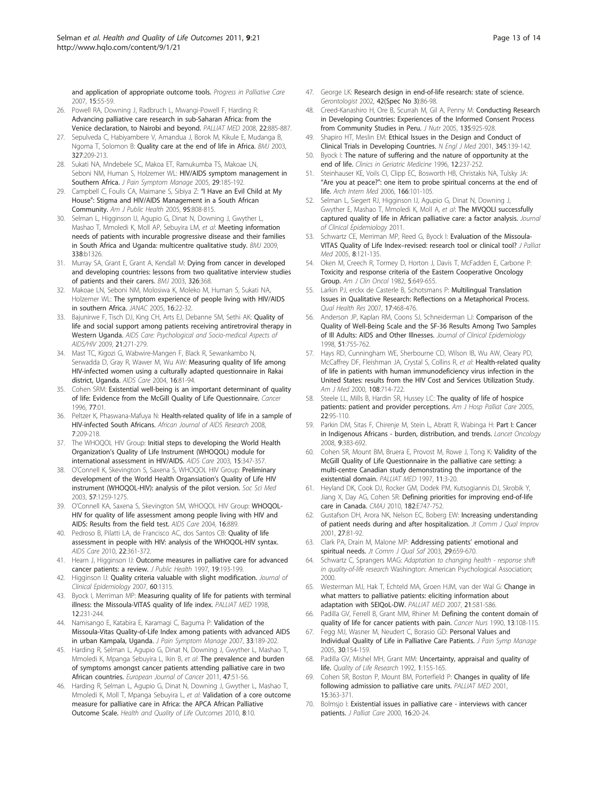<span id="page-12-0"></span>and application of appropriate outcome tools. Progress in Palliative Care 2007, 15:55-59.

- 26. Powell RA, Downing J, Radbruch L, Mwangi-Powell F, Harding R: [Advancing palliative care research in sub-Saharan Africa: from the](http://www.ncbi.nlm.nih.gov/pubmed/19039055?dopt=Abstract) [Venice declaration, to Nairobi and beyond.](http://www.ncbi.nlm.nih.gov/pubmed/19039055?dopt=Abstract) PALLIAT MED 2008, 22:885-887.
- 27. Sepulveda C, Habiyambere V, Amandua J, Borok M, Kikule E, Mudanga B, Ngoma T, Solomon B: [Quality care at the end of life in Africa.](http://www.ncbi.nlm.nih.gov/pubmed/12881267?dopt=Abstract) BMJ 2003, 327:209-213.
- 28. Sukati NA, Mndebele SC, Makoa ET, Ramukumba TS, Makoae LN, Seboni NM, Human S, Holzemer WL: [HIV/AIDS symptom management in](http://www.ncbi.nlm.nih.gov/pubmed/15733810?dopt=Abstract) [Southern Africa.](http://www.ncbi.nlm.nih.gov/pubmed/15733810?dopt=Abstract) J Pain Symptom Manage 2005, 29:185-192.
- 29. Campbell C, Foulis CA, Maimane S, Sibiya Z: "[I Have an Evil Child at My](http://www.ncbi.nlm.nih.gov/pubmed/15855456?dopt=Abstract) [House": Stigma and HIV/AIDS Management in a South African](http://www.ncbi.nlm.nih.gov/pubmed/15855456?dopt=Abstract) [Community.](http://www.ncbi.nlm.nih.gov/pubmed/15855456?dopt=Abstract) Am J Public Health 2005, 95:808-815.
- 30. Selman L, Higginson IJ, Agupio G, Dinat N, Downing J, Gwyther L, Mashao T, Mmoledi K, Moll AP, Sebuyira LM, et al: [Meeting information](http://www.ncbi.nlm.nih.gov/pubmed/19386672?dopt=Abstract) [needs of patients with incurable progressive disease and their families](http://www.ncbi.nlm.nih.gov/pubmed/19386672?dopt=Abstract) [in South Africa and Uganda: multicentre qualitative study.](http://www.ncbi.nlm.nih.gov/pubmed/19386672?dopt=Abstract) BMJ 2009, 338:b1326.
- 31. Murray SA, Grant E, Grant A, Kendall M: [Dying from cancer in developed](http://www.ncbi.nlm.nih.gov/pubmed/12586671?dopt=Abstract) [and developing countries: lessons from two qualitative interview studies](http://www.ncbi.nlm.nih.gov/pubmed/12586671?dopt=Abstract) [of patients and their carers.](http://www.ncbi.nlm.nih.gov/pubmed/12586671?dopt=Abstract) BMJ 2003, 326:368.
- 32. Makoae LN, Seboni NM, Molosiwa K, Moleko M, Human S, Sukati NA, Holzemer WL: [The symptom experience of people living with HIV/AIDS](http://www.ncbi.nlm.nih.gov/pubmed/16433114?dopt=Abstract) [in southern Africa.](http://www.ncbi.nlm.nih.gov/pubmed/16433114?dopt=Abstract) JANAC 2005, 16:22-32.
- 33. Bajunirwe F, Tisch DJ, King CH, Arts EJ, Debanne SM, Sethi AK: Quality of life and social support among patients receiving antiretroviral therapy in Western Uganda. AIDS Care: Psychological and Socio-medical Aspects of AIDS/HIV 2009, 21:271-279.
- 34. Mast TC, Kigozi G, Wabwire-Mangen F, Black R, Sewankambo N, Serwadda D, Gray R, Wawer M, Wu AW: [Measuring quality of life among](http://www.ncbi.nlm.nih.gov/pubmed/14660146?dopt=Abstract) [HIV-infected women using a culturally adapted questionnaire in Rakai](http://www.ncbi.nlm.nih.gov/pubmed/14660146?dopt=Abstract) [district, Uganda.](http://www.ncbi.nlm.nih.gov/pubmed/14660146?dopt=Abstract) AIDS Care 2004, 16:81-94.
- 35. Cohen SRM: Existential well-being is an important determinant of quality of life: Evidence from the McGill Quality of Life Questionnaire. Cancer 1996, 77:01.
- 36. Peltzer K, Phaswana-Mafuya N: Health-related quality of life in a sample of HIV-infected South Africans. African Journal of AIDS Research 2008, 7:209-218.
- 37. The WHOQOL HIV Group: [Initial steps to developing the World Health](http://www.ncbi.nlm.nih.gov/pubmed/12745402?dopt=Abstract) Organization'[s Quality of Life Instrument \(WHOQOL\) module for](http://www.ncbi.nlm.nih.gov/pubmed/12745402?dopt=Abstract) [international assessment in HIV/AIDS.](http://www.ncbi.nlm.nih.gov/pubmed/12745402?dopt=Abstract) AIDS Care 2003, 15:347-357.
- 38. O'Connell K, Skevington S, Saxena S, WHOQOL HIV Group: [Preliminary](http://www.ncbi.nlm.nih.gov/pubmed/12899909?dopt=Abstract) development [of the World Health Organsiation](http://www.ncbi.nlm.nih.gov/pubmed/12899909?dopt=Abstract)'s Quality of Life HIV [instrument \(WHOQOL-HIV\): analysis of the pilot version.](http://www.ncbi.nlm.nih.gov/pubmed/12899909?dopt=Abstract) Soc Sci Med 2003, 57:1259-1275.
- 39. O'Connell KA, Saxena S, Skevington SM, WHOQOL HIV Group: WHOQOL-HIV for quality of life assessment among people living with HIV and AIDS: Results from the field test. AIDS Care 2004, 16:889.
- 40. Pedroso B, Pilatti LA, de Francisco AC, dos Santos CB: [Quality of life](http://www.ncbi.nlm.nih.gov/pubmed/20390517?dopt=Abstract) [assessment in people with HIV: analysis of the WHOQOL-HIV syntax.](http://www.ncbi.nlm.nih.gov/pubmed/20390517?dopt=Abstract) AIDS Care 2010, 22:361-372.
- 41. Hearn J, Higginson IJ: Outcome measures in palliative care for advanced cancer patients: a review. J Public Health 1997, 19:193-199.
- Higginson IJ: [Quality criteria valuable with slight modification.](http://www.ncbi.nlm.nih.gov/pubmed/17998089?dopt=Abstract) Journal of Clinical Epidemiology 2007, 60:1315.
- 43. Byock I, Merriman MP: [Measuring quality of life for patients with terminal](http://www.ncbi.nlm.nih.gov/pubmed/9743822?dopt=Abstract) [illness: the Missoula-VITAS quality of life index.](http://www.ncbi.nlm.nih.gov/pubmed/9743822?dopt=Abstract) PALLIAT MED 1998, 12:231-244.
- 44. Namisango E, Katabira E, Karamagi C, Baguma P: [Validation of the](http://www.ncbi.nlm.nih.gov/pubmed/17280924?dopt=Abstract) [Missoula-Vitas Quality-of-Life Index among patients with advanced AIDS](http://www.ncbi.nlm.nih.gov/pubmed/17280924?dopt=Abstract) [in urban Kampala, Uganda.](http://www.ncbi.nlm.nih.gov/pubmed/17280924?dopt=Abstract) J Pain Symptom Manage 2007, 33:189-202.
- 45. Harding R, Selman L, Agupio G, Dinat N, Downing J, Gwyther L, Mashao T, Mmoledi K, Mpanga Sebuyira L, Ikin B, et al: [The prevalence and burden](http://www.ncbi.nlm.nih.gov/pubmed/20822896?dopt=Abstract) [of symptoms amongst cancer patients attending palliative care in two](http://www.ncbi.nlm.nih.gov/pubmed/20822896?dopt=Abstract) [African countries.](http://www.ncbi.nlm.nih.gov/pubmed/20822896?dopt=Abstract) European Journal of Cancer 2011, 47:51-56.
- 46. Harding R, Selman L, Agupio G, Dinat N, Downing J, Gwyther L, Mashao T, Mmoledi K, Moll T, Mpanga Sebuyira L, et al: [Validation of a core outcome](http://www.ncbi.nlm.nih.gov/pubmed/20100332?dopt=Abstract) [measure for palliative care in Africa: the APCA African Palliative](http://www.ncbi.nlm.nih.gov/pubmed/20100332?dopt=Abstract) [Outcome Scale.](http://www.ncbi.nlm.nih.gov/pubmed/20100332?dopt=Abstract) Health and Quality of Life Outcomes 2010, 8:10.
- 47. George LK: [Research design in end-of-life research: state of science.](http://www.ncbi.nlm.nih.gov/pubmed/12415138?dopt=Abstract) Gerontologist 2002, 42(Spec No 3):86-98.
- 48. Creed-Kanashiro H, Ore B, Scurrah M, Gil A, Penny M: [Conducting Research](http://www.ncbi.nlm.nih.gov/pubmed/15795463?dopt=Abstract) [in Developing Countries: Experiences of the Informed Consent Process](http://www.ncbi.nlm.nih.gov/pubmed/15795463?dopt=Abstract) [from Community Studies in Peru.](http://www.ncbi.nlm.nih.gov/pubmed/15795463?dopt=Abstract) J Nutr 2005, 135:925-928.
- Shapiro HT, Meslin EM: [Ethical Issues in the Design and Conduct of](http://www.ncbi.nlm.nih.gov/pubmed/11450665?dopt=Abstract) [Clinical Trials in Developing Countries.](http://www.ncbi.nlm.nih.gov/pubmed/11450665?dopt=Abstract) N Engl J Med 2001, 345:139-142.
- 50. Byock I: [The nature of suffering and the nature of opportunity at the](http://www.ncbi.nlm.nih.gov/pubmed/8799345?dopt=Abstract) [end of life.](http://www.ncbi.nlm.nih.gov/pubmed/8799345?dopt=Abstract) Clinics in Geriatric Medicine 1996, 12:237-252.
- 51. Steinhauser KE, Voils CI, Clipp EC, Bosworth HB, Christakis NA, Tulsky JA: "[Are you at peace?": one item to probe spiritual concerns at the end of](http://www.ncbi.nlm.nih.gov/pubmed/16401817?dopt=Abstract) [life.](http://www.ncbi.nlm.nih.gov/pubmed/16401817?dopt=Abstract) Arch Intern Med 2006, 166:101-105.
- 52. Selman L, Siegert RJ, Higginson IJ, Agupio G, Dinat N, Downing J, Gwyther E, Mashao T, Mmoledi K, Moll A, et al: [The MVQOLI successfully](http://www.ncbi.nlm.nih.gov/pubmed/21474280?dopt=Abstract) [captured quality of life in African palliative care: a factor analysis.](http://www.ncbi.nlm.nih.gov/pubmed/21474280?dopt=Abstract) Journal of Clinical Epidemiology 2011.
- 53. Schwartz CE, Merriman MP, Reed G, Byock I: [Evaluation of the Missoula-](http://www.ncbi.nlm.nih.gov/pubmed/15662181?dopt=Abstract)VITAS Quality of Life Index–[revised: research tool or clinical tool?](http://www.ncbi.nlm.nih.gov/pubmed/15662181?dopt=Abstract) J Palliat Med 2005, 8:121-135.
- 54. Oken M, Creech R, Tormey D, Horton J, Davis T, McFadden E, Carbone P: [Toxicity and response criteria of the Eastern Cooperative Oncology](http://www.ncbi.nlm.nih.gov/pubmed/7165009?dopt=Abstract) [Group.](http://www.ncbi.nlm.nih.gov/pubmed/7165009?dopt=Abstract) Am J Clin Oncol 1982, 5:649-655.
- 55. Larkin PJ, erckx de Casterle B, Schotsmans P: [Multilingual Translation](http://www.ncbi.nlm.nih.gov/pubmed/17416700?dopt=Abstract) [Issues in Qualitative Research: Reflections on a Metaphorical Process.](http://www.ncbi.nlm.nih.gov/pubmed/17416700?dopt=Abstract) Qual Health Res 2007, 17:468-476.
- 56. Anderson JP, Kaplan RM, Coons SJ, Schneiderman LJ: [Comparison of the](http://www.ncbi.nlm.nih.gov/pubmed/9731924?dopt=Abstract) [Quality of Well-Being Scale and the SF-36 Results Among Two Samples](http://www.ncbi.nlm.nih.gov/pubmed/9731924?dopt=Abstract) of III Adults: AIDS and Other IIInesses. Journal of Clinical Epidemiology 1998, 51:755-762.
- 57. Hays RD, Cunningham WE, Sherbourne CD, Wilson IB, Wu AW, Cleary PD, McCaffrey DF, Fleishman JA, Crystal S, Collins R, et al: [Health-related quality](http://www.ncbi.nlm.nih.gov/pubmed/10924648?dopt=Abstract) [of life in patients with human immunodeficiency virus infection in the](http://www.ncbi.nlm.nih.gov/pubmed/10924648?dopt=Abstract) [United States: results from the HIV Cost and Services Utilization Study.](http://www.ncbi.nlm.nih.gov/pubmed/10924648?dopt=Abstract) Am J Med 2000, 108:714-722.
- 58. Steele LL, Mills B, Hardin SR, Hussey LC: [The quality of life of hospice](http://www.ncbi.nlm.nih.gov/pubmed/15853087?dopt=Abstract) [patients: patient and provider perceptions.](http://www.ncbi.nlm.nih.gov/pubmed/15853087?dopt=Abstract) Am J Hosp Palliat Care 2005, 22:95-110.
- 59. Parkin DM, Sitas F, Chirenje M, Stein L, Abratt R, Wabinga H: Part I: Cancer in Indigenous Africans - burden, distribution, and trends. Lancet Oncology 2008, 9:383-692.
- 60. Cohen SR, Mount BM, Bruera E, Provost M, Rowe J, Tong K: [Validity of the](http://www.ncbi.nlm.nih.gov/pubmed/9068681?dopt=Abstract) [McGill Quality of Life Questionnaire in the palliative care setting: a](http://www.ncbi.nlm.nih.gov/pubmed/9068681?dopt=Abstract) [multi-centre Canadian study demonstrating the importance of the](http://www.ncbi.nlm.nih.gov/pubmed/9068681?dopt=Abstract) [existential domain.](http://www.ncbi.nlm.nih.gov/pubmed/9068681?dopt=Abstract) PALLIAT MED 1997, 11:3-20.
- 61. Heyland DK, Cook DJ, Rocker GM, Dodek PM, Kutsogiannis DJ, Skrobik Y, Jiang X, Day AG, Cohen SR: [Defining priorities for improving end-of-life](http://www.ncbi.nlm.nih.gov/pubmed/20921249?dopt=Abstract) [care in Canada.](http://www.ncbi.nlm.nih.gov/pubmed/20921249?dopt=Abstract) CMAJ 2010, 182:E747-752.
- 62. Gustafson DH, Arora NK, Nelson EC, Boberg EW: [Increasing understanding](http://www.ncbi.nlm.nih.gov/pubmed/11221013?dopt=Abstract) [of patient needs during and after hospitalization.](http://www.ncbi.nlm.nih.gov/pubmed/11221013?dopt=Abstract) Jt Comm J Qual Improv 2001, 27:81-92.
- 63. Clark PA, Drain M, Malone MP: [Addressing patients](http://www.ncbi.nlm.nih.gov/pubmed/14679869?dopt=Abstract)' emotional and [spiritual needs.](http://www.ncbi.nlm.nih.gov/pubmed/14679869?dopt=Abstract) Jt Comm J Qual Saf 2003, 29:659-670.
- Schwartz C, Sprangers MAG: Adaptation to changing health response shift in quality-of-life research Washington: American Psychological Association; 2000.
- 65. Westerman MJ, Hak T, Echteld MA, Groen HJM, van der Wal G: [Change in](http://www.ncbi.nlm.nih.gov/pubmed/17942496?dopt=Abstract) [what matters to palliative patients: eliciting information about](http://www.ncbi.nlm.nih.gov/pubmed/17942496?dopt=Abstract) [adaptation with SEIQoL-DW.](http://www.ncbi.nlm.nih.gov/pubmed/17942496?dopt=Abstract) PALLIAT MED 2007, 21:581-586.
- 66. Padilla GV, Ferrell B, Grant MM, Rhiner M: [Defining the content domain of](http://www.ncbi.nlm.nih.gov/pubmed/2331691?dopt=Abstract) [quality of life for cancer patients with pain.](http://www.ncbi.nlm.nih.gov/pubmed/2331691?dopt=Abstract) Cancer Nurs 1990, 13:108-115.
- 67. Fegg MJ, Wasner M, Neudert C, Borasio GD: Personal Values and Individual Quality of Life in Palliative Care Patients. J Pain Symp Manage 2005, 30:154-159.
- 68. Padilla GV, Mishel MH, Grant MM: [Uncertainty, appraisal and quality of](http://www.ncbi.nlm.nih.gov/pubmed/1301125?dopt=Abstract) [life.](http://www.ncbi.nlm.nih.gov/pubmed/1301125?dopt=Abstract) Quality of Life Research 1992, 1:155-165.
- 69. Cohen SR, Boston P, Mount BM, Porterfield P: [Changes in quality of life](http://www.ncbi.nlm.nih.gov/pubmed/11591087?dopt=Abstract) [following admission to palliative care units.](http://www.ncbi.nlm.nih.gov/pubmed/11591087?dopt=Abstract) PALLIAT MED 2001, 15:363-371.
- 70. Bolmsjo I: [Existential issues in palliative care interviews with cancer](http://www.ncbi.nlm.nih.gov/pubmed/10887728?dopt=Abstract) [patients.](http://www.ncbi.nlm.nih.gov/pubmed/10887728?dopt=Abstract) J Palliat Care 2000, 16:20-24.